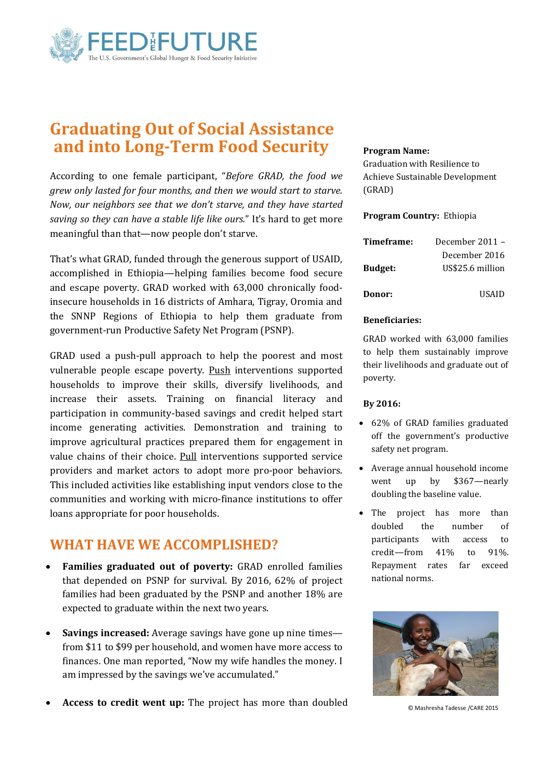

# **Graduating Out of Social Assistance and into Long-Term Food Security**

According to one female participant, "*Before GRAD, the food we grew only lasted for four months, and then we would start to starve. Now, our neighbors see that we don't starve, and they have started saving so they can have a stable life like ours.*" It's hard to get more meaningful than that—now people don't starve.

That's what GRAD, funded through the generous support of USAID, accomplished in Ethiopia—helping families become food secure and escape poverty. GRAD worked with 63,000 chronically foodinsecure households in 16 districts of Amhara, Tigray, Oromia and the SNNP Regions of Ethiopia to help them graduate from government-run Productive Safety Net Program (PSNP).

GRAD used a push-pull approach to help the poorest and most vulnerable people escape poverty. Push interventions supported households to improve their skills, diversify livelihoods, and increase their assets. Training on financial literacy and participation in community-based savings and credit helped start income generating activities. Demonstration and training to improve agricultural practices prepared them for engagement in value chains of their choice. Pull interventions supported service providers and market actors to adopt more pro-poor behaviors. This included activities like establishing input vendors close to the communities and working with micro-finance institutions to offer loans appropriate for poor households.

## **WHAT HAVE WE ACCOMPLISHED?**

- **Families graduated out of poverty:** GRAD enrolled families that depended on PSNP for survival. By 2016, 62% of project families had been graduated by the PSNP and another 18% are expected to graduate within the next two years.
- **Savings increased:** Average savings have gone up nine times from \$11 to \$99 per household, and women have more access to finances. One man reported, "Now my wife handles the money. I am impressed by the savings we've accumulated."
- **Access to credit went up:** The project has more than doubled

### **Program Name:**

Graduation with Resilience to Achieve Sustainable Development (GRAD)

### **Program Country:** Ethiopia

| Timeframe:     | December 2011 –  |
|----------------|------------------|
|                | December 2016    |
| <b>Budget:</b> | US\$25.6 million |
| Donor:         | HSAID            |

### **Beneficiaries:**

GRAD worked with 63,000 families to help them sustainably improve their livelihoods and graduate out of poverty.

### **By 2016:**

- 62% of GRAD families graduated off the government's productive safety net program.
- Average annual household income went up by \$367—nearly doubling the baseline value.
- The project has more than doubled the number of participants with access to credit—from 41% to 91%. Repayment rates far exceed national norms.



© Mashresha Tadesse /CARE 2015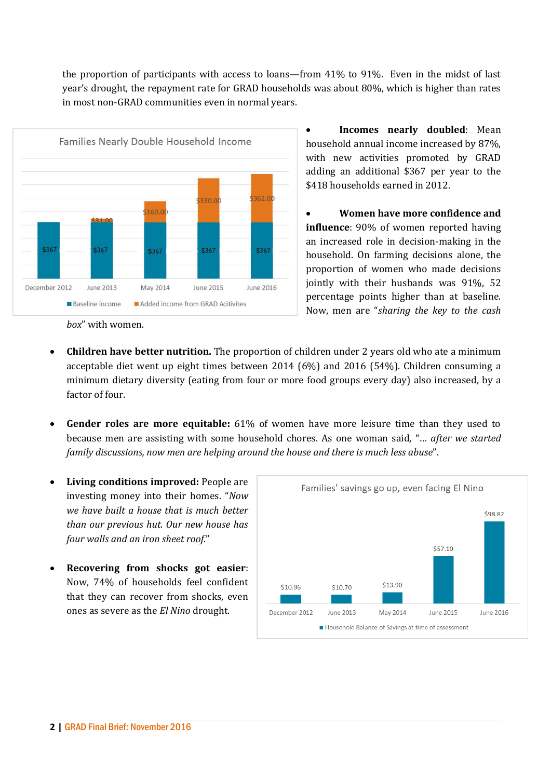the proportion of participants with access to loans—from 41% to 91%. Even in the midst of last year's drought, the repayment rate for GRAD households was about 80%, which is higher than rates in most non-GRAD communities even in normal years.



 **Incomes nearly doubled**: Mean household annual income increased by 87%, with new activities promoted by GRAD adding an additional \$367 per year to the \$418 households earned in 2012.

 **Women have more confidence and influence**: 90% of women reported having an increased role in decision-making in the household. On farming decisions alone, the proportion of women who made decisions jointly with their husbands was 91%, 52 percentage points higher than at baseline. Now, men are "*sharing the key to the cash* 

- *box*" with women.
- **Children have better nutrition.** The proportion of children under 2 years old who ate a minimum acceptable diet went up eight times between 2014 (6%) and 2016 (54%). Children consuming a minimum dietary diversity (eating from four or more food groups every day) also increased, by a factor of four.
- **Gender roles are more equitable:** 61% of women have more leisure time than they used to because men are assisting with some household chores. As one woman said, "… *after we started family discussions, now men are helping around the house and there is much less abuse*".
- **Living conditions improved:** People are investing money into their homes. "*Now we have built a house that is much better than our previous hut. Our new house has four walls and an iron sheet roof*."
- **Recovering from shocks got easier**: Now, 74% of households feel confident that they can recover from shocks, even ones as severe as the *El Nino* drought.

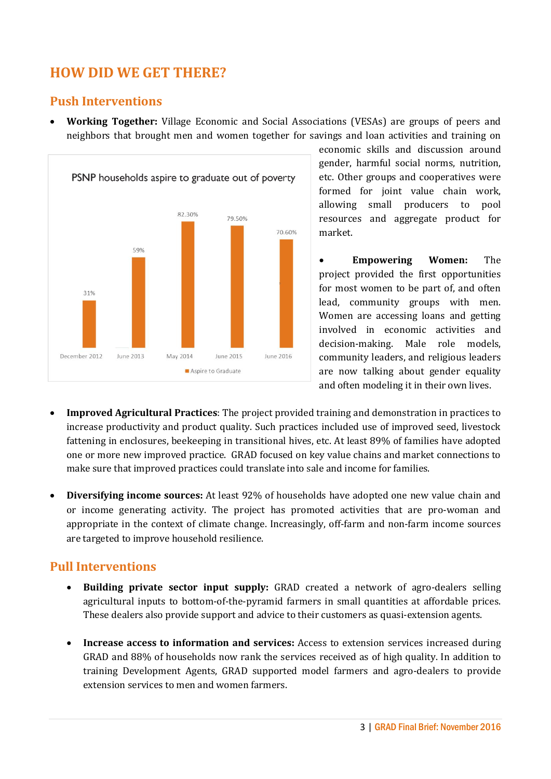## **HOW DID WE GET THERE?**

### **Push Interventions**

 **Working Together:** Village Economic and Social Associations (VESAs) are groups of peers and neighbors that brought men and women together for savings and loan activities and training on



economic skills and discussion around gender, harmful social norms, nutrition, etc. Other groups and cooperatives were formed for joint value chain work, allowing small producers to pool resources and aggregate product for market.

 **Empowering Women:** The project provided the first opportunities for most women to be part of, and often lead, community groups with men. Women are accessing loans and getting involved in economic activities and decision-making. Male role models, community leaders, and religious leaders are now talking about gender equality and often modeling it in their own lives.

- **Improved Agricultural Practices**: The project provided training and demonstration in practices to increase productivity and product quality. Such practices included use of improved seed, livestock fattening in enclosures, beekeeping in transitional hives, etc. At least 89% of families have adopted one or more new improved practice. GRAD focused on key value chains and market connections to make sure that improved practices could translate into sale and income for families.
- **Diversifying income sources:** At least 92% of households have adopted one new value chain and or income generating activity. The project has promoted activities that are pro-woman and appropriate in the context of climate change. Increasingly, off-farm and non-farm income sources are targeted to improve household resilience.

## **Pull Interventions**

- **Building private sector input supply:** GRAD created a network of agro-dealers selling agricultural inputs to bottom-of-the-pyramid farmers in small quantities at affordable prices. These dealers also provide support and advice to their customers as quasi-extension agents.
- **Increase access to information and services:** Access to extension services increased during GRAD and 88% of households now rank the services received as of high quality. In addition to training Development Agents, GRAD supported model farmers and agro-dealers to provide extension services to men and women farmers.